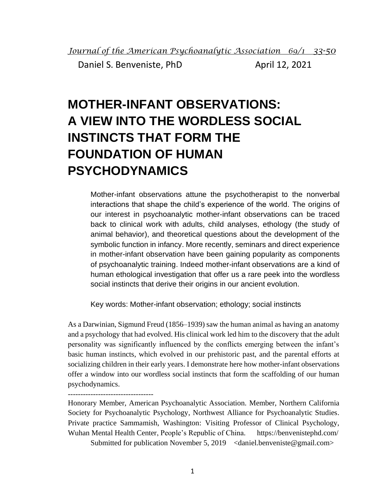Daniel S. Benveniste, PhD April 12, 2021

## **MOTHER-INFANT OBSERVATIONS: A VIEW INTO THE WORDLESS SOCIAL INSTINCTS THAT FORM THE FOUNDATION OF HUMAN PSYCHODYNAMICS**

Mother-infant observations attune the psychotherapist to the nonverbal interactions that shape the child's experience of the world. The origins of our interest in psychoanalytic mother-infant observations can be traced back to clinical work with adults, child analyses, ethology (the study of animal behavior), and theoretical questions about the development of the symbolic function in infancy. More recently, seminars and direct experience in mother-infant observation have been gaining popularity as components of psychoanalytic training. Indeed mother-infant observations are a kind of human ethological investigation that offer us a rare peek into the wordless social instincts that derive their origins in our ancient evolution.

Key words: Mother-infant observation; ethology; social instincts

As a Darwinian, Sigmund Freud (1856–1939) saw the human animal as having an anatomy and a psychology that had evolved. His clinical work led him to the discovery that the adult personality was significantly influenced by the conflicts emerging between the infant's basic human instincts, which evolved in our prehistoric past, and the parental efforts at socializing children in their early years. I demonstrate here how mother-infant observations offer a window into our wordless social instincts that form the scaffolding of our human psychodynamics.

## ----------------------------------

Honorary Member, American Psychoanalytic Association. Member, Northern California Society for Psychoanalytic Psychology, Northwest Alliance for Psychoanalytic Studies. Private practice Sammamish, Washington: Visiting Professor of Clinical Psychology, Wuhan Mental Health Center, People's Republic of China. https://benvenistephd.com/

Submitted for publication November 5, 2019  $\le$  daniel.benveniste@gmail.com>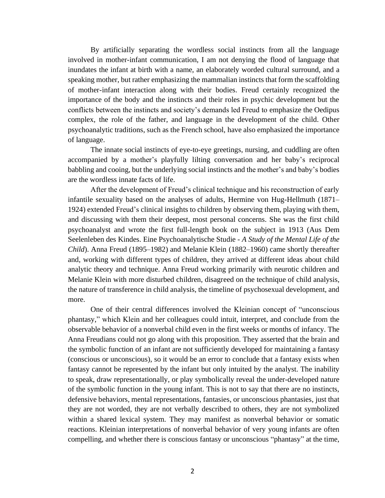By artificially separating the wordless social instincts from all the language involved in mother-infant communication, I am not denying the flood of language that inundates the infant at birth with a name, an elaborately worded cultural surround, and a speaking mother, but rather emphasizing the mammalian instincts that form the scaffolding of mother-infant interaction along with their bodies. Freud certainly recognized the importance of the body and the instincts and their roles in psychic development but the conflicts between the instincts and society's demands led Freud to emphasize the Oedipus complex, the role of the father, and language in the development of the child. Other psychoanalytic traditions, such as the French school, have also emphasized the importance of language.

The innate social instincts of eye-to-eye greetings, nursing, and cuddling are often accompanied by a mother's playfully lilting conversation and her baby's reciprocal babbling and cooing, but the underlying social instincts and the mother's and baby's bodies are the wordless innate facts of life.

After the development of Freud's clinical technique and his reconstruction of early infantile sexuality based on the analyses of adults, Hermine von Hug-Hellmuth (1871– 1924) extended Freud's clinical insights to children by observing them, playing with them, and discussing with them their deepest, most personal concerns. She was the first child psychoanalyst and wrote the first full-length book on the subject in 1913 (Aus Dem Seelenleben des Kindes. Eine Psychoanalytische Studie - *A Study of the Mental Life of the Child*). Anna Freud (1895–1982) and Melanie Klein (1882–1960) came shortly thereafter and, working with different types of children, they arrived at different ideas about child analytic theory and technique. Anna Freud working primarily with neurotic children and Melanie Klein with more disturbed children, disagreed on the technique of child analysis, the nature of transference in child analysis, the timeline of psychosexual development, and more.

One of their central differences involved the Kleinian concept of "unconscious phantasy," which Klein and her colleagues could intuit, interpret, and conclude from the observable behavior of a nonverbal child even in the first weeks or months of infancy. The Anna Freudians could not go along with this proposition. They asserted that the brain and the symbolic function of an infant are not sufficiently developed for maintaining a fantasy (conscious or unconscious), so it would be an error to conclude that a fantasy exists when fantasy cannot be represented by the infant but only intuited by the analyst. The inability to speak, draw representationally, or play symbolically reveal the under-developed nature of the symbolic function in the young infant. This is not to say that there are no instincts, defensive behaviors, mental representations, fantasies, or unconscious phantasies, just that they are not worded, they are not verbally described to others, they are not symbolized within a shared lexical system. They may manifest as nonverbal behavior or somatic reactions. Kleinian interpretations of nonverbal behavior of very young infants are often compelling, and whether there is conscious fantasy or unconscious "phantasy" at the time,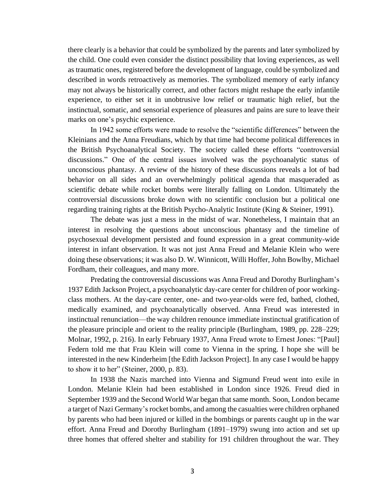there clearly is a behavior that could be symbolized by the parents and later symbolized by the child. One could even consider the distinct possibility that loving experiences, as well as traumatic ones, registered before the development of language, could be symbolized and described in words retroactively as memories. The symbolized memory of early infancy may not always be historically correct, and other factors might reshape the early infantile experience, to either set it in unobtrusive low relief or traumatic high relief, but the instinctual, somatic, and sensorial experience of pleasures and pains are sure to leave their marks on one's psychic experience.

In 1942 some efforts were made to resolve the "scientific differences" between the Kleinians and the Anna Freudians, which by that time had become political differences in the British Psychoanalytical Society. The society called these efforts "controversial discussions." One of the central issues involved was the psychoanalytic status of unconscious phantasy. A review of the history of these discussions reveals a lot of bad behavior on all sides and an overwhelmingly political agenda that masqueraded as scientific debate while rocket bombs were literally falling on London. Ultimately the controversial discussions broke down with no scientific conclusion but a political one regarding training rights at the British Psycho-Analytic Institute (King & Steiner, 1991).

The debate was just a mess in the midst of war. Nonetheless, I maintain that an interest in resolving the questions about unconscious phantasy and the timeline of psychosexual development persisted and found expression in a great community-wide interest in infant observation. It was not just Anna Freud and Melanie Klein who were doing these observations; it was also D. W. Winnicott, Willi Hoffer, John Bowlby, Michael Fordham, their colleagues, and many more.

Predating the controversial discussions was Anna Freud and Dorothy Burlingham's 1937 Edith Jackson Project, a psychoanalytic day-care center for children of poor workingclass mothers. At the day-care center, one- and two-year-olds were fed, bathed, clothed, medically examined, and psychoanalytically observed. Anna Freud was interested in instinctual renunciation––the way children renounce immediate instinctual gratification of the pleasure principle and orient to the reality principle (Burlingham, 1989, pp. 228–229; Molnar, 1992, p. 216). In early February 1937, Anna Freud wrote to Ernest Jones: "[Paul] Federn told me that Frau Klein will come to Vienna in the spring. I hope she will be interested in the new Kinderheim [the Edith Jackson Project]. In any case I would be happy to show it to her" (Steiner, 2000, p. 83).

In 1938 the Nazis marched into Vienna and Sigmund Freud went into exile in London. Melanie Klein had been established in London since 1926. Freud died in September 1939 and the Second World War began that same month. Soon, London became a target of Nazi Germany's rocket bombs, and among the casualties were children orphaned by parents who had been injured or killed in the bombings or parents caught up in the war effort. Anna Freud and Dorothy Burlingham (1891–1979) swung into action and set up three homes that offered shelter and stability for 191 children throughout the war. They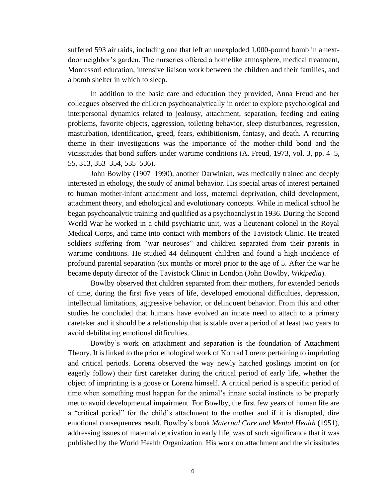suffered 593 air raids, including one that left an unexploded 1,000-pound bomb in a nextdoor neighbor's garden. The nurseries offered a homelike atmosphere, medical treatment, Montessori education, intensive liaison work between the children and their families, and a bomb shelter in which to sleep.

In addition to the basic care and education they provided, Anna Freud and her colleagues observed the children psychoanalytically in order to explore psychological and interpersonal dynamics related to jealousy, attachment, separation, feeding and eating problems, favorite objects, aggression, toileting behavior, sleep disturbances, regression, masturbation, identification, greed, fears, exhibitionism, fantasy, and death. A recurring theme in their investigations was the importance of the mother-child bond and the vicissitudes that bond suffers under wartime conditions (A. Freud, 1973, vol. 3, pp. 4–5, 55, 313, 353–354, 535–536).

John Bowlby (1907–1990), another Darwinian, was medically trained and deeply interested in ethology, the study of animal behavior. His special areas of interest pertained to human mother-infant attachment and loss, maternal deprivation, child development, attachment theory, and ethological and evolutionary concepts. While in medical school he began psychoanalytic training and qualified as a psychoanalyst in 1936. During the Second World War he worked in a child psychiatric unit, was a lieutenant colonel in the Royal Medical Corps, and came into contact with members of the Tavistock Clinic. He treated soldiers suffering from "war neuroses" and children separated from their parents in wartime conditions. He studied 44 delinquent children and found a high incidence of profound parental separation (six months or more) prior to the age of 5. After the war he became deputy director of the Tavistock Clinic in London (John Bowlby, *Wikipedia*).

Bowlby observed that children separated from their mothers, for extended periods of time, during the first five years of life, developed emotional difficulties, depression, intellectual limitations, aggressive behavior, or delinquent behavior. From this and other studies he concluded that humans have evolved an innate need to attach to a primary caretaker and it should be a relationship that is stable over a period of at least two years to avoid debilitating emotional difficulties.

Bowlby's work on attachment and separation is the foundation of Attachment Theory. It is linked to the prior ethological work of Konrad Lorenz pertaining to imprinting and critical periods. Lorenz observed the way newly hatched goslings imprint on (or eagerly follow) their first caretaker during the critical period of early life, whether the object of imprinting is a goose or Lorenz himself. A critical period is a specific period of time when something must happen for the animal's innate social instincts to be properly met to avoid developmental impairment. For Bowlby, the first few years of human life are a "critical period" for the child's attachment to the mother and if it is disrupted, dire emotional consequences result. Bowlby's book *Maternal Care and Mental Health* (1951), addressing issues of maternal deprivation in early life, was of such significance that it was published by the World Health Organization. His work on attachment and the vicissitudes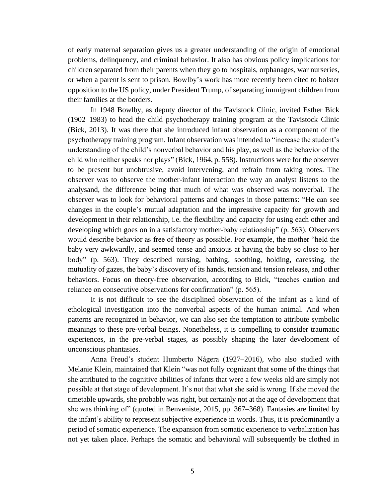of early maternal separation gives us a greater understanding of the origin of emotional problems, delinquency, and criminal behavior. It also has obvious policy implications for children separated from their parents when they go to hospitals, orphanages, war nurseries, or when a parent is sent to prison. Bowlby's work has more recently been cited to bolster opposition to the US policy, under President Trump, of separating immigrant children from their families at the borders.

In 1948 Bowlby, as deputy director of the Tavistock Clinic, invited Esther Bick (1902–1983) to head the child psychotherapy training program at the Tavistock Clinic (Bick, 2013). It was there that she introduced infant observation as a component of the psychotherapy training program. Infant observation was intended to "increase the student's understanding of the child's nonverbal behavior and his play, as well as the behavior of the child who neither speaks nor plays" (Bick, 1964, p. 558). Instructions were for the observer to be present but unobtrusive, avoid intervening, and refrain from taking notes. The observer was to observe the mother-infant interaction the way an analyst listens to the analysand, the difference being that much of what was observed was nonverbal. The observer was to look for behavioral patterns and changes in those patterns: "He can see changes in the couple's mutual adaptation and the impressive capacity for growth and development in their relationship, i.e. the flexibility and capacity for using each other and developing which goes on in a satisfactory mother-baby relationship" (p. 563). Observers would describe behavior as free of theory as possible. For example, the mother "held the baby very awkwardly, and seemed tense and anxious at having the baby so close to her body" (p. 563). They described nursing, bathing, soothing, holding, caressing, the mutuality of gazes, the baby's discovery of its hands, tension and tension release, and other behaviors. Focus on theory-free observation, according to Bick, "teaches caution and reliance on consecutive observations for confirmation" (p. 565).

It is not difficult to see the disciplined observation of the infant as a kind of ethological investigation into the nonverbal aspects of the human animal. And when patterns are recognized in behavior, we can also see the temptation to attribute symbolic meanings to these pre-verbal beings. Nonetheless, it is compelling to consider traumatic experiences, in the pre-verbal stages, as possibly shaping the later development of unconscious phantasies.

Anna Freud's student Humberto Nágera (1927–2016), who also studied with Melanie Klein, maintained that Klein "was not fully cognizant that some of the things that she attributed to the cognitive abilities of infants that were a few weeks old are simply not possible at that stage of development. It's not that what she said is wrong. If she moved the timetable upwards, she probably was right, but certainly not at the age of development that she was thinking of" (quoted in Benveniste, 2015, pp. 367–368). Fantasies are limited by the infant's ability to represent subjective experience in words. Thus, it is predominantly a period of somatic experience. The expansion from somatic experience to verbalization has not yet taken place. Perhaps the somatic and behavioral will subsequently be clothed in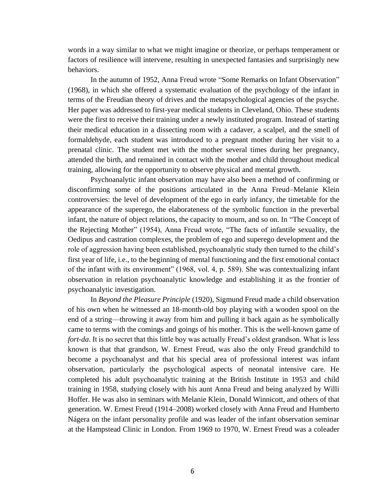words in a way similar to what we might imagine or theorize, or perhaps temperament or factors of resilience will intervene, resulting in unexpected fantasies and surprisingly new behaviors.

In the autumn of 1952, Anna Freud wrote "Some Remarks on Infant Observation" (1968), in which she offered a systematic evaluation of the psychology of the infant in terms of the Freudian theory of drives and the metapsychological agencies of the psyche. Her paper was addressed to first-year medical students in Cleveland, Ohio. These students were the first to receive their training under a newly instituted program. Instead of starting their medical education in a dissecting room with a cadaver, a scalpel, and the smell of formaldehyde, each student was introduced to a pregnant mother during her visit to a prenatal clinic. The student met with the mother several times during her pregnancy, attended the birth, and remained in contact with the mother and child throughout medical training, allowing for the opportunity to observe physical and mental growth.

Psychoanalytic infant observation may have also been a method of confirming or disconfirming some of the positions articulated in the Anna Freud–Melanie Klein controversies: the level of development of the ego in early infancy, the timetable for the appearance of the superego, the elaborateness of the symbolic function in the preverbal infant, the nature of object relations, the capacity to mourn, and so on. In "The Concept of the Rejecting Mother" (1954), Anna Freud wrote, "The facts of infantile sexuality, the Oedipus and castration complexes, the problem of ego and superego development and the role of aggression having been established, psychoanalytic study then turned to the child's first year of life, i.e., to the beginning of mental functioning and the first emotional contact of the infant with its environment" (1968, vol. 4, p. 589). She was contextualizing infant observation in relation psychoanalytic knowledge and establishing it as the frontier of psychoanalytic investigation.

In *Beyond the Pleasure Principle* (1920), Sigmund Freud made a child observation of his own when he witnessed an 18-month-old boy playing with a wooden spool on the end of a string—throwing it away from him and pulling it back again as he symbolically came to terms with the comings and goings of his mother. This is the well-known game of *fort-da*. It is no secret that this little boy was actually Freud's oldest grandson. What is less known is that that grandson, W. Ernest Freud, was also the only Freud grandchild to become a psychoanalyst and that his special area of professional interest was infant observation, particularly the psychological aspects of neonatal intensive care. He completed his adult psychoanalytic training at the British Institute in 1953 and child training in 1958, studying closely with his aunt Anna Freud and being analyzed by Willi Hoffer. He was also in seminars with Melanie Klein, Donald Winnicott, and others of that generation. W. Ernest Freud (1914–2008) worked closely with Anna Freud and Humberto Nágera on the infant personality profile and was leader of the infant observation seminar at the Hampstead Clinic in London. From 1969 to 1970, W. Ernest Freud was a coleader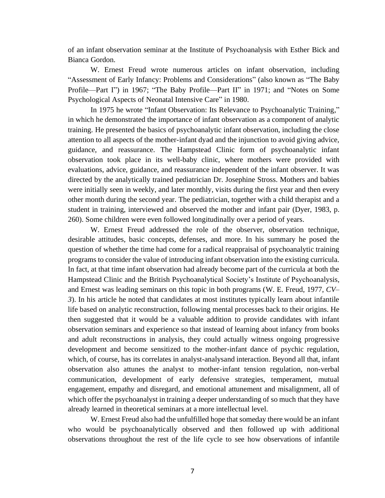of an infant observation seminar at the Institute of Psychoanalysis with Esther Bick and Bianca Gordon.

W. Ernest Freud wrote numerous articles on infant observation, including "Assessment of Early Infancy: Problems and Considerations" (also known as "The Baby Profile—Part I") in 1967; "The Baby Profile—Part II" in 1971; and "Notes on Some Psychological Aspects of Neonatal Intensive Care" in 1980.

In 1975 he wrote "Infant Observation: Its Relevance to Psychoanalytic Training," in which he demonstrated the importance of infant observation as a component of analytic training. He presented the basics of psychoanalytic infant observation, including the close attention to all aspects of the mother-infant dyad and the injunction to avoid giving advice, guidance, and reassurance. The Hampstead Clinic form of psychoanalytic infant observation took place in its well-baby clinic, where mothers were provided with evaluations, advice, guidance, and reassurance independent of the infant observer. It was directed by the analytically trained pediatrician Dr. Josephine Stross. Mothers and babies were initially seen in weekly, and later monthly, visits during the first year and then every other month during the second year. The pediatrician, together with a child therapist and a student in training, interviewed and observed the mother and infant pair (Dyer, 1983, p. 260). Some children were even followed longitudinally over a period of years.

W. Ernest Freud addressed the role of the observer, observation technique, desirable attitudes, basic concepts, defenses, and more. In his summary he posed the question of whether the time had come for a radical reappraisal of psychoanalytic training programs to consider the value of introducing infant observation into the existing curricula. In fact, at that time infant observation had already become part of the curricula at both the Hampstead Clinic and the British Psychoanalytical Society's Institute of Psychoanalysis, and Ernest was leading seminars on this topic in both programs (W. E. Freud, 1977, *CV– 3*). In his article he noted that candidates at most institutes typically learn about infantile life based on analytic reconstruction, following mental processes back to their origins. He then suggested that it would be a valuable addition to provide candidates with infant observation seminars and experience so that instead of learning about infancy from books and adult reconstructions in analysis, they could actually witness ongoing progressive development and become sensitized to the mother-infant dance of psychic regulation, which, of course, has its correlates in analyst-analysand interaction. Beyond all that, infant observation also attunes the analyst to mother-infant tension regulation, non-verbal communication, development of early defensive strategies, temperament, mutual engagement, empathy and disregard, and emotional attunement and misalignment, all of which offer the psychoanalyst in training a deeper understanding of so much that they have already learned in theoretical seminars at a more intellectual level.

W. Ernest Freud also had the unfulfilled hope that someday there would be an infant who would be psychoanalytically observed and then followed up with additional observations throughout the rest of the life cycle to see how observations of infantile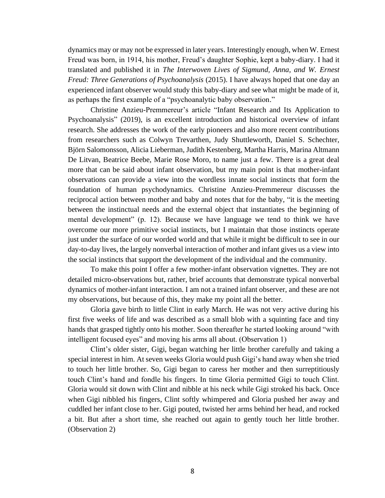dynamics may or may not be expressed in later years. Interestingly enough, when W. Ernest Freud was born, in 1914, his mother, Freud's daughter Sophie, kept a baby-diary. I had it translated and published it in *The Interwoven Lives of Sigmund, Anna, and W. Ernest Freud: Three Generations of Psychoanalysis* (2015). I have always hoped that one day an experienced infant observer would study this baby-diary and see what might be made of it, as perhaps the first example of a "psychoanalytic baby observation."

Christine Anzieu-Premmereur's article "Infant Research and Its Application to Psychoanalysis" (2019), is an excellent introduction and historical overview of infant research. She addresses the work of the early pioneers and also more recent contributions from researchers such as Colwyn Trevarthen, Judy Shuttleworth, Daniel S. Schechter, Björn Salomonsson, Alicia Lieberman, Judith Kestenberg, Martha Harris, Marina Altmann De Litvan, Beatrice Beebe, Marie Rose Moro, to name just a few. There is a great deal more that can be said about infant observation, but my main point is that mother-infant observations can provide a view into the wordless innate social instincts that form the foundation of human psychodynamics. Christine Anzieu-Premmereur discusses the reciprocal action between mother and baby and notes that for the baby, "it is the meeting between the instinctual needs and the external object that instantiates the beginning of mental development" (p. 12). Because we have language we tend to think we have overcome our more primitive social instincts, but I maintain that those instincts operate just under the surface of our worded world and that while it might be difficult to see in our day-to-day lives, the largely nonverbal interaction of mother and infant gives us a view into the social instincts that support the development of the individual and the community.

To make this point I offer a few mother-infant observation vignettes. They are not detailed micro-observations but, rather, brief accounts that demonstrate typical nonverbal dynamics of mother-infant interaction. I am not a trained infant observer, and these are not my observations, but because of this, they make my point all the better.

Gloria gave birth to little Clint in early March. He was not very active during his first five weeks of life and was described as a small blob with a squinting face and tiny hands that grasped tightly onto his mother. Soon thereafter he started looking around "with intelligent focused eyes" and moving his arms all about. (Observation 1)

Clint's older sister, Gigi, began watching her little brother carefully and taking a special interest in him. At seven weeks Gloria would push Gigi's hand away when she tried to touch her little brother. So, Gigi began to caress her mother and then surreptitiously touch Clint's hand and fondle his fingers. In time Gloria permitted Gigi to touch Clint. Gloria would sit down with Clint and nibble at his neck while Gigi stroked his back. Once when Gigi nibbled his fingers, Clint softly whimpered and Gloria pushed her away and cuddled her infant close to her. Gigi pouted, twisted her arms behind her head, and rocked a bit. But after a short time, she reached out again to gently touch her little brother. (Observation 2)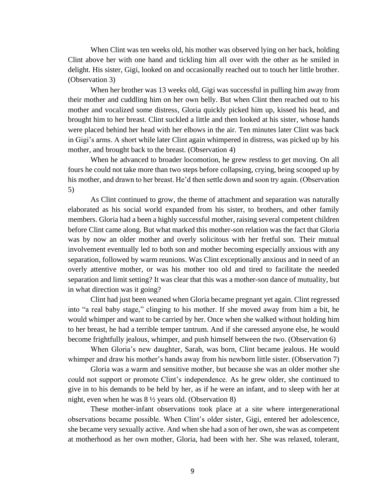When Clint was ten weeks old, his mother was observed lying on her back, holding Clint above her with one hand and tickling him all over with the other as he smiled in delight. His sister, Gigi, looked on and occasionally reached out to touch her little brother. (Observation 3)

When her brother was 13 weeks old, Gigi was successful in pulling him away from their mother and cuddling him on her own belly. But when Clint then reached out to his mother and vocalized some distress, Gloria quickly picked him up, kissed his head, and brought him to her breast. Clint suckled a little and then looked at his sister, whose hands were placed behind her head with her elbows in the air. Ten minutes later Clint was back in Gigi's arms. A short while later Clint again whimpered in distress, was picked up by his mother, and brought back to the breast. (Observation 4)

When he advanced to broader locomotion, he grew restless to get moving. On all fours he could not take more than two steps before collapsing, crying, being scooped up by his mother, and drawn to her breast. He'd then settle down and soon try again. (Observation 5)

As Clint continued to grow, the theme of attachment and separation was naturally elaborated as his social world expanded from his sister, to brothers, and other family members. Gloria had a been a highly successful mother, raising several competent children before Clint came along. But what marked this mother-son relation was the fact that Gloria was by now an older mother and overly solicitous with her fretful son. Their mutual involvement eventually led to both son and mother becoming especially anxious with any separation, followed by warm reunions. Was Clint exceptionally anxious and in need of an overly attentive mother, or was his mother too old and tired to facilitate the needed separation and limit setting? It was clear that this was a mother-son dance of mutuality, but in what direction was it going?

Clint had just been weaned when Gloria became pregnant yet again. Clint regressed into "a real baby stage," clinging to his mother. If she moved away from him a bit, he would whimper and want to be carried by her. Once when she walked without holding him to her breast, he had a terrible temper tantrum. And if she caressed anyone else, he would become frightfully jealous, whimper, and push himself between the two. (Observation 6)

When Gloria's new daughter, Sarah, was born, Clint became jealous. He would whimper and draw his mother's hands away from his newborn little sister. (Observation 7)

Gloria was a warm and sensitive mother, but because she was an older mother she could not support or promote Clint's independence. As he grew older, she continued to give in to his demands to be held by her, as if he were an infant, and to sleep with her at night, even when he was 8 ½ years old. (Observation 8)

These mother-infant observations took place at a site where intergenerational observations became possible. When Clint's older sister, Gigi, entered her adolescence, she became very sexually active. And when she had a son of her own, she was as competent at motherhood as her own mother, Gloria, had been with her. She was relaxed, tolerant,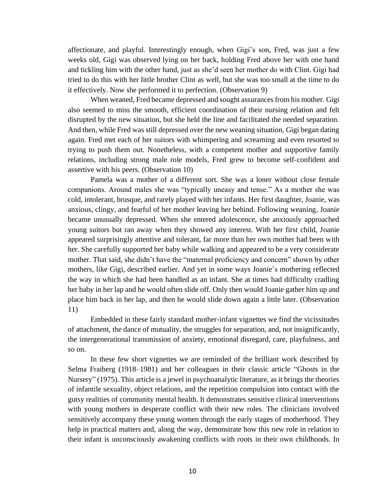affectionate, and playful. Interestingly enough, when Gigi's son, Fred, was just a few weeks old, Gigi was observed lying on her back, holding Fred above her with one hand and tickling him with the other hand, just as she'd seen her mother do with Clint. Gigi had tried to do this with her little brother Clint as well, but she was too small at the time to do it effectively. Now she performed it to perfection. (Observation 9)

When weaned, Fred became depressed and sought assurances from his mother. Gigi also seemed to miss the smooth, efficient coordination of their nursing relation and felt disrupted by the new situation, but she held the line and facilitated the needed separation. And then, while Fred was still depressed over the new weaning situation, Gigi began dating again. Fred met each of her suitors with whimpering and screaming and even resorted to trying to push them out. Nonetheless, with a competent mother and supportive family relations, including strong male role models, Fred grew to become self-confident and assertive with his peers. (Observation 10)

Pamela was a mother of a different sort. She was a loner without close female companions. Around males she was "typically uneasy and tense." As a mother she was cold, intolerant, brusque, and rarely played with her infants. Her first daughter, Joanie, was anxious, clingy, and fearful of her mother leaving her behind. Following weaning, Joanie became unusually depressed. When she entered adolescence, she anxiously approached young suitors but ran away when they showed any interest. With her first child, Joanie appeared surprisingly attentive and tolerant, far more than her own mother had been with her. She carefully supported her baby while walking and appeared to be a very considerate mother. That said, she didn't have the "maternal proficiency and concern" shown by other mothers, like Gigi, described earlier. And yet in some ways Joanie's mothering reflected the way in which she had been handled as an infant. She at times had difficulty cradling her baby in her lap and he would often slide off. Only then would Joanie gather him up and place him back in her lap, and then he would slide down again a little later. (Observation 11)

Embedded in these fairly standard mother-infant vignettes we find the vicissitudes of attachment, the dance of mutuality, the struggles for separation, and, not insignificantly, the intergenerational transmission of anxiety, emotional disregard, care, playfulness, and so on.

In these few short vignettes we are reminded of the brilliant work described by Selma Fraiberg (1918–1981) and her colleagues in their classic article "Ghosts in the Nursery" (1975). This article is a jewel in psychoanalytic literature, as it brings the theories of infantile sexuality, object relations, and the repetition compulsion into contact with the gutsy realities of community mental health. It demonstrates sensitive clinical interventions with young mothers in desperate conflict with their new roles. The clinicians involved sensitively accompany these young women through the early stages of motherhood. They help in practical matters and, along the way, demonstrate how this new role in relation to their infant is unconsciously awakening conflicts with roots in their own childhoods. In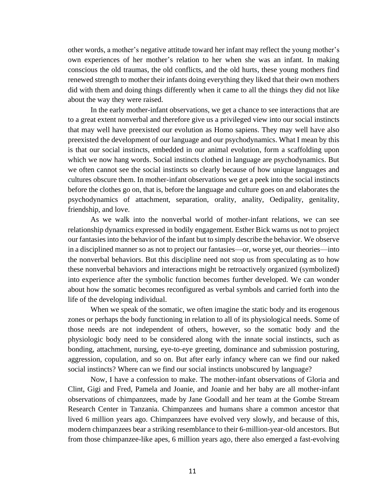other words, a mother's negative attitude toward her infant may reflect the young mother's own experiences of her mother's relation to her when she was an infant. In making conscious the old traumas, the old conflicts, and the old hurts, these young mothers find renewed strength to mother their infants doing everything they liked that their own mothers did with them and doing things differently when it came to all the things they did not like about the way they were raised.

In the early mother-infant observations, we get a chance to see interactions that are to a great extent nonverbal and therefore give us a privileged view into our social instincts that may well have preexisted our evolution as Homo sapiens. They may well have also preexisted the development of our language and our psychodynamics. What I mean by this is that our social instincts, embedded in our animal evolution, form a scaffolding upon which we now hang words. Social instincts clothed in language are psychodynamics. But we often cannot see the social instincts so clearly because of how unique languages and cultures obscure them. In mother-infant observations we get a peek into the social instincts before the clothes go on, that is, before the language and culture goes on and elaborates the psychodynamics of attachment, separation, orality, anality, Oedipality, genitality, friendship, and love.

As we walk into the nonverbal world of mother-infant relations, we can see relationship dynamics expressed in bodily engagement. Esther Bick warns us not to project our fantasies into the behavior of the infant but to simply describe the behavior. We observe in a disciplined manner so as not to project our fantasies—or, worse yet, our theories—into the nonverbal behaviors. But this discipline need not stop us from speculating as to how these nonverbal behaviors and interactions might be retroactively organized (symbolized) into experience after the symbolic function becomes further developed. We can wonder about how the somatic becomes reconfigured as verbal symbols and carried forth into the life of the developing individual.

When we speak of the somatic, we often imagine the static body and its erogenous zones or perhaps the body functioning in relation to all of its physiological needs. Some of those needs are not independent of others, however, so the somatic body and the physiologic body need to be considered along with the innate social instincts, such as bonding, attachment, nursing, eye-to-eye greeting, dominance and submission posturing, aggression, copulation, and so on. But after early infancy where can we find our naked social instincts? Where can we find our social instincts unobscured by language?

Now, I have a confession to make. The mother-infant observations of Gloria and Clint, Gigi and Fred, Pamela and Joanie, and Joanie and her baby are all mother-infant observations of chimpanzees, made by Jane Goodall and her team at the Gombe Stream Research Center in Tanzania. Chimpanzees and humans share a common ancestor that lived 6 million years ago. Chimpanzees have evolved very slowly, and because of this, modern chimpanzees bear a striking resemblance to their 6-million-year-old ancestors. But from those chimpanzee-like apes, 6 million years ago, there also emerged a fast-evolving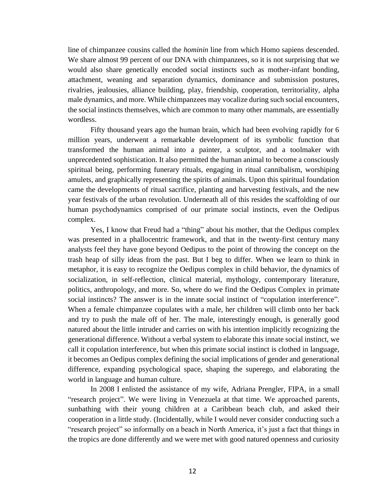line of chimpanzee cousins called the *hominin* line from which Homo sapiens descended. We share almost 99 percent of our DNA with chimpanzees, so it is not surprising that we would also share genetically encoded social instincts such as mother-infant bonding, attachment, weaning and separation dynamics, dominance and submission postures, rivalries, jealousies, alliance building, play, friendship, cooperation, territoriality, alpha male dynamics, and more. While chimpanzees may vocalize during such social encounters, the social instincts themselves, which are common to many other mammals, are essentially wordless.

Fifty thousand years ago the human brain, which had been evolving rapidly for 6 million years, underwent a remarkable development of its symbolic function that transformed the human animal into a painter, a sculptor, and a toolmaker with unprecedented sophistication. It also permitted the human animal to become a consciously spiritual being, performing funerary rituals, engaging in ritual cannibalism, worshiping amulets, and graphically representing the spirits of animals. Upon this spiritual foundation came the developments of ritual sacrifice, planting and harvesting festivals, and the new year festivals of the urban revolution. Underneath all of this resides the scaffolding of our human psychodynamics comprised of our primate social instincts, even the Oedipus complex.

Yes, I know that Freud had a "thing" about his mother, that the Oedipus complex was presented in a phallocentric framework, and that in the twenty-first century many analysts feel they have gone beyond Oedipus to the point of throwing the concept on the trash heap of silly ideas from the past. But I beg to differ. When we learn to think in metaphor, it is easy to recognize the Oedipus complex in child behavior, the dynamics of socialization, in self-reflection, clinical material, mythology, contemporary literature, politics, anthropology, and more. So, where do we find the Oedipus Complex in primate social instincts? The answer is in the innate social instinct of "copulation interference". When a female chimpanzee copulates with a male, her children will climb onto her back and try to push the male off of her. The male, interestingly enough, is generally good natured about the little intruder and carries on with his intention implicitly recognizing the generational difference. Without a verbal system to elaborate this innate social instinct, we call it copulation interference, but when this primate social instinct is clothed in language, it becomes an Oedipus complex defining the social implications of gender and generational difference, expanding psychological space, shaping the superego, and elaborating the world in language and human culture.

In 2008 I enlisted the assistance of my wife, Adriana Prengler, FIPA, in a small "research project". We were living in Venezuela at that time. We approached parents, sunbathing with their young children at a Caribbean beach club, and asked their cooperation in a little study. (Incidentally, while I would never consider conducting such a "research project" so informally on a beach in North America, it's just a fact that things in the tropics are done differently and we were met with good natured openness and curiosity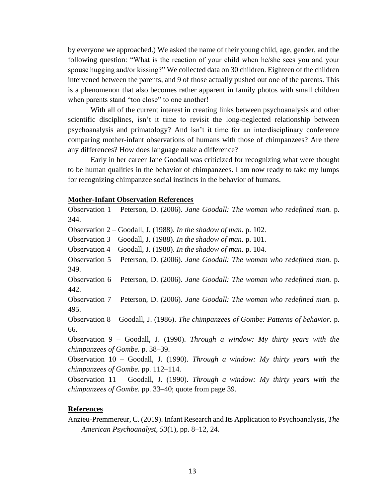by everyone we approached.) We asked the name of their young child, age, gender, and the following question: "What is the reaction of your child when he/she sees you and your spouse hugging and/or kissing?" We collected data on 30 children. Eighteen of the children intervened between the parents, and 9 of those actually pushed out one of the parents. This is a phenomenon that also becomes rather apparent in family photos with small children when parents stand "too close" to one another!

With all of the current interest in creating links between psychoanalysis and other scientific disciplines, isn't it time to revisit the long-neglected relationship between psychoanalysis and primatology? And isn't it time for an interdisciplinary conference comparing mother-infant observations of humans with those of chimpanzees? Are there any differences? How does language make a difference?

Early in her career Jane Goodall was criticized for recognizing what were thought to be human qualities in the behavior of chimpanzees. I am now ready to take my lumps for recognizing chimpanzee social instincts in the behavior of humans.

## **Mother-Infant Observation References**

Observation 1 – Peterson, D. (2006). *Jane Goodall: The woman who redefined man.* p. 344.

Observation 2 – Goodall, J. (1988). *In the shadow of man.* p. 102.

Observation 3 – Goodall, J. (1988). *In the shadow of man.* p. 101.

Observation 4 – Goodall, J. (1988). *In the shadow of man.* p. 104.

Observation 5 – Peterson, D. (2006). *Jane Goodall: The woman who redefined man.* p. 349.

Observation 6 – Peterson, D. (2006). *Jane Goodall: The woman who redefined man.* p. 442.

Observation 7 – Peterson, D. (2006). *Jane Goodall: The woman who redefined man.* p. 495.

Observation 8 – Goodall, J. (1986). *The chimpanzees of Gombe: Patterns of behavior.* p. 66.

Observation 9 – Goodall, J. (1990). *Through a window: My thirty years with the chimpanzees of Gombe.* p. 38–39.

Observation 10 – Goodall, J. (1990). *Through a window: My thirty years with the chimpanzees of Gombe.* pp. 112–114.

Observation 11 – Goodall, J. (1990). *Through a window: My thirty years with the chimpanzees of Gombe.* pp. 33–40; quote from page 39.

## **References**

Anzieu-Premmereur, C. (2019). Infant Research and Its Application to Psychoanalysis, *The American Psychoanalyst, 53*(1), pp. 8–12, 24.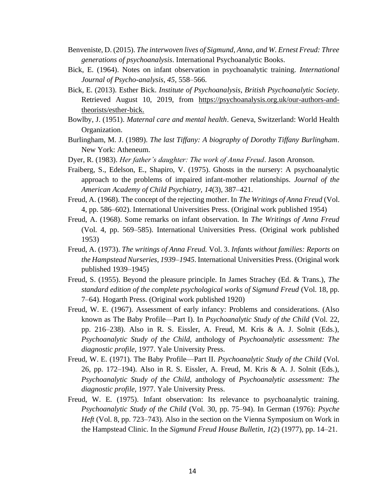- Benveniste, D. (2015). *The interwoven lives of Sigmund, Anna, and W. Ernest Freud: Three generations of psychoanalysis*. International Psychoanalytic Books.
- Bick, E. (1964). Notes on infant observation in psychoanalytic training. *International Journal of Psycho-analysis, 45,* 558–566.
- Bick, E. (2013). Esther Bick. *Institute of Psychoanalysis, British Psychoanalytic Society*. Retrieved August 10, 2019, from [https://psychoanalysis.org.uk/our-authors-and](https://psychoanalysis.org.uk/our-authors-and-theorists/esther-bick)[theorists/esther-bick.](https://psychoanalysis.org.uk/our-authors-and-theorists/esther-bick)
- Bowlby, J. (1951). *Maternal care and mental health*. Geneva, Switzerland: World Health Organization.
- Burlingham, M. J. (1989). *The last Tiffany: A biography of Dorothy Tiffany Burlingham*. New York: Atheneum.
- Dyer, R. (1983). *Her father's daughter: The work of Anna Freud*. Jason Aronson.
- Fraiberg, S., Edelson, E., Shapiro, V. (1975). Ghosts in the nursery: A psychoanalytic approach to the problems of impaired infant-mother relationships. *Journal of the American Academy of Child Psychiatry, 14*(3), 387–421.
- Freud, A. (1968). The concept of the rejecting mother. In *The Writings of Anna Freud* (Vol. 4, pp. 586–602). International Universities Press. (Original work published 1954)
- Freud, A. (1968). Some remarks on infant observation. In *The Writings of Anna Freud*  (Vol. 4, pp. 569–585). International Universities Press. (Original work published 1953)
- Freud, A. (1973). *The writings of Anna Freud.* Vol. 3. *Infants without families: Reports on the Hampstead Nurseries, 1939–1945*. International Universities Press. (Original work published 1939–1945)
- Freud, S. (1955). Beyond the pleasure principle. In James Strachey (Ed. & Trans.), *The standard edition of the complete psychological works of Sigmund Freud* (Vol. 18, pp. 7–64). Hogarth Press. (Original work published 1920)
- Freud, W. E. (1967). Assessment of early infancy: Problems and considerations. (Also known as The Baby Profile—Part I). In *Psychoanalytic Study of the Child* (Vol. 22, pp. 216–238). Also in R. S. Eissler, A. Freud, M. Kris & A. J. Solnit (Eds.), *Psychoanalytic Study of the Child,* anthology of *Psychoanalytic assessment: The diagnostic profile,* 1977. Yale University Press.
- Freud, W. E. (1971). The Baby Profile—Part II. *Psychoanalytic Study of the Child* (Vol. 26, pp. 172–194). Also in R. S. Eissler, A. Freud, M. Kris & A. J. Solnit (Eds.), *Psychoanalytic Study of the Child,* anthology of *Psychoanalytic assessment: The diagnostic profile,* 1977. Yale University Press.
- Freud, W. E. (1975). Infant observation: Its relevance to psychoanalytic training. *Psychoanalytic Study of the Child* (Vol. 30, pp. 75–94). In German (1976): *Psyche Heft* (Vol. 8, pp. 723–743). Also in the section on the Vienna Symposium on Work in the Hampstead Clinic. In the *Sigmund Freud House Bulletin, 1*(2) (1977), pp. 14–21.